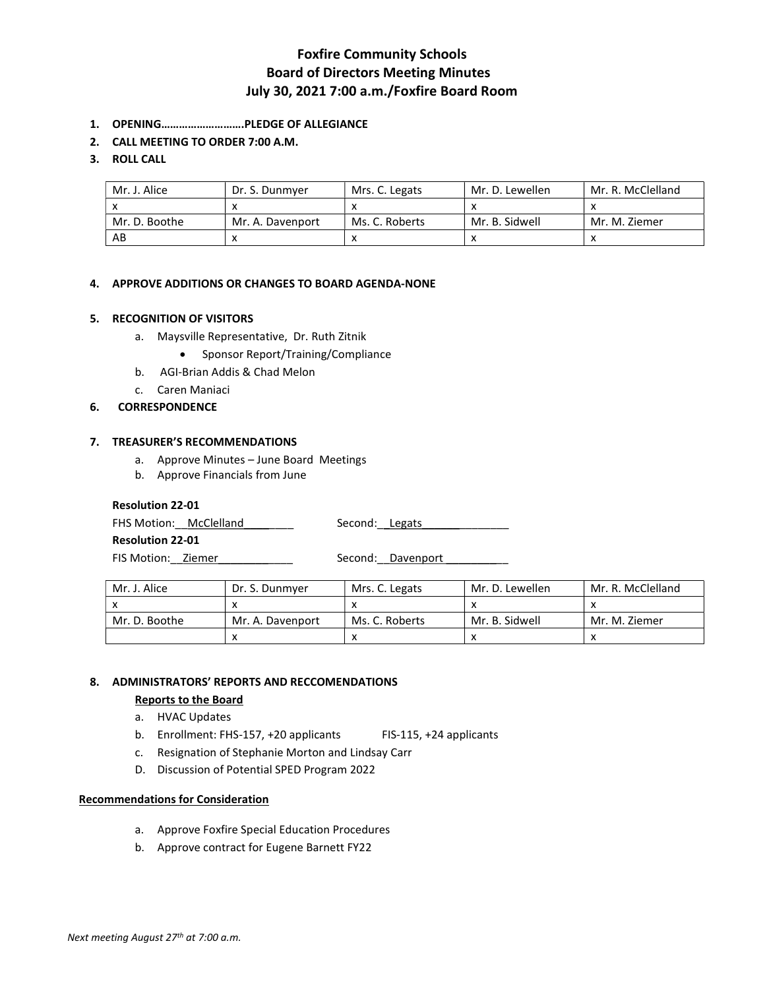# Foxfire Community Schools Board of Directors Meeting Minutes July 30, 2021 7:00 a.m./Foxfire Board Room

- 1. OPENING……………………….PLEDGE OF ALLEGIANCE
- 2. CALL MEETING TO ORDER 7:00 A.M.

## 3. ROLL CALL

| Mr. J. Alice  | Dr. S. Dunmver   | Mrs. C. Legats | Mr. D. Lewellen | Mr. R. McClelland |
|---------------|------------------|----------------|-----------------|-------------------|
|               |                  |                |                 |                   |
| Mr. D. Boothe | Mr. A. Davenport | Ms. C. Roberts | Mr. B. Sidwell  | Mr. M. Ziemer     |
| AB            |                  |                |                 |                   |

## 4. APPROVE ADDITIONS OR CHANGES TO BOARD AGENDA-NONE

### 5. RECOGNITION OF VISITORS

- a. Maysville Representative, Dr. Ruth Zitnik
	- Sponsor Report/Training/Compliance
- b. AGI-Brian Addis & Chad Melon
- c. Caren Maniaci

### 6. CORRESPONDENCE

### 7. TREASURER'S RECOMMENDATIONS

- a. Approve Minutes June Board Meetings
- b. Approve Financials from June

### Resolution 22-01

FHS Motion: McClelland Manualding Second: Legats

Resolution 22-01

FIS Motion: Ziemer \_\_\_\_\_\_\_\_\_\_\_\_\_ Second: Davenport \_\_\_\_\_\_\_\_

| Mr. J. Alice  | Dr. S. Dunmver   | Mrs. C. Legats | Mr. D. Lewellen | Mr. R. McClelland |
|---------------|------------------|----------------|-----------------|-------------------|
|               |                  |                |                 |                   |
| Mr. D. Boothe | Mr. A. Davenport | Ms. C. Roberts | Mr. B. Sidwell  | Mr. M. Ziemer     |
|               | $\lambda$        |                |                 |                   |

## 8. ADMINISTRATORS' REPORTS AND RECCOMENDATIONS

Reports to the Board

# a. HVAC Updates

- b. Enrollment: FHS-157, +20 applicants FIS-115, +24 applicants
- c. Resignation of Stephanie Morton and Lindsay Carr
- D. Discussion of Potential SPED Program 2022

### Recommendations for Consideration

- a. Approve Foxfire Special Education Procedures
- b. Approve contract for Eugene Barnett FY22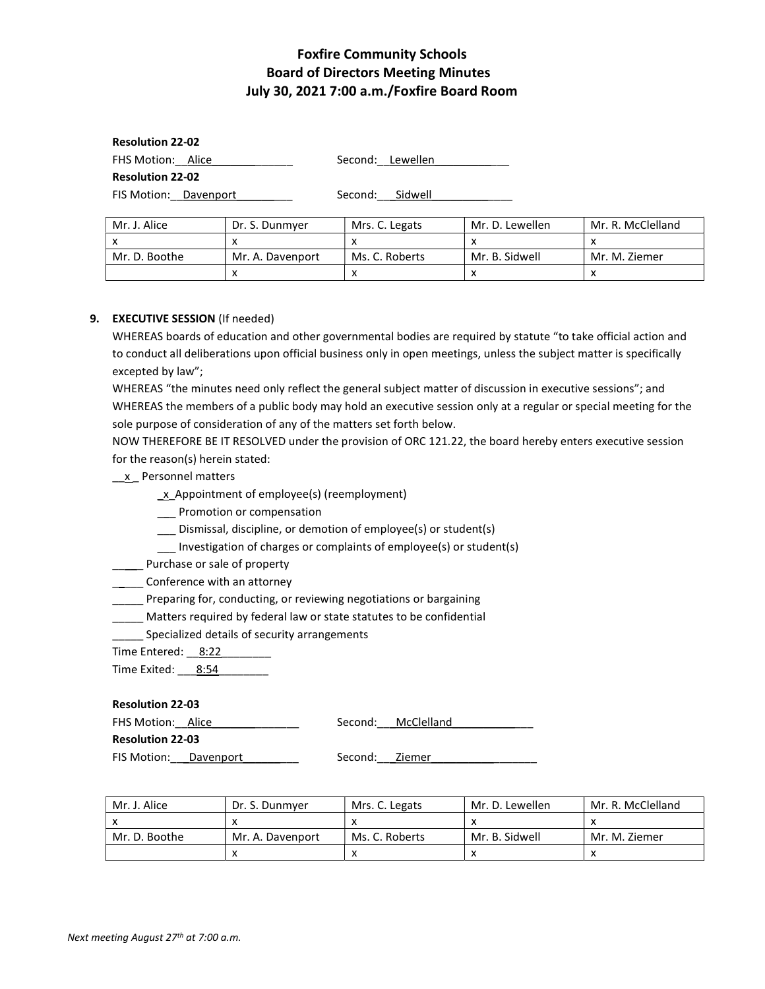# Foxfire Community Schools Board of Directors Meeting Minutes July 30, 2021 7:00 a.m./Foxfire Board Room

Resolution 22-02 FHS Motion: Alice Second: Lewellen Resolution 22-02 FIS Motion: Davenport examples are Second: Sidwell

| Mr. J. Alice  | Dr. S. Dunmver   | Mrs. C. Legats | Mr. D. Lewellen | Mr. R. McClelland |
|---------------|------------------|----------------|-----------------|-------------------|
|               |                  |                |                 |                   |
| Mr. D. Boothe | Mr. A. Davenport | Ms. C. Roberts | Mr. B. Sidwell  | Mr. M. Ziemer     |
|               |                  |                |                 |                   |

### 9. EXECUTIVE SESSION (If needed)

WHEREAS boards of education and other governmental bodies are required by statute "to take official action and to conduct all deliberations upon official business only in open meetings, unless the subject matter is specifically excepted by law";

WHEREAS "the minutes need only reflect the general subject matter of discussion in executive sessions"; and WHEREAS the members of a public body may hold an executive session only at a regular or special meeting for the sole purpose of consideration of any of the matters set forth below.

NOW THEREFORE BE IT RESOLVED under the provision of ORC 121.22, the board hereby enters executive session for the reason(s) herein stated:

### \_\_x \_ Personnel matters

- \_x\_Appointment of employee(s) (reemployment)
- \_\_\_ Promotion or compensation
- \_\_\_ Dismissal, discipline, or demotion of employee(s) or student(s)
- \_\_\_ Investigation of charges or complaints of employee(s) or student(s)
- **\_\_\_\_** Purchase or sale of property
- **\_\_\_\_\_** Conference with an attorney

\_\_\_\_\_ Preparing for, conducting, or reviewing negotiations or bargaining

- \_\_\_\_\_ Matters required by federal law or state statutes to be confidential
- Specialized details of security arrangements

Time Entered: 8:22

Time Exited: 8:54

### Resolution 22-03

FHS Motion: Alice The Second: McClelland

Resolution 22-03

FIS Motion: Davenport entity Second: Ziemer

| Mr. J. Alice  | Dr. S. Dunmyer   | Mrs. C. Legats | Mr. D. Lewellen | Mr. R. McClelland |
|---------------|------------------|----------------|-----------------|-------------------|
|               |                  |                |                 |                   |
| Mr. D. Boothe | Mr. A. Davenport | Ms. C. Roberts | Mr. B. Sidwell  | Mr. M. Ziemer     |
|               |                  |                |                 |                   |